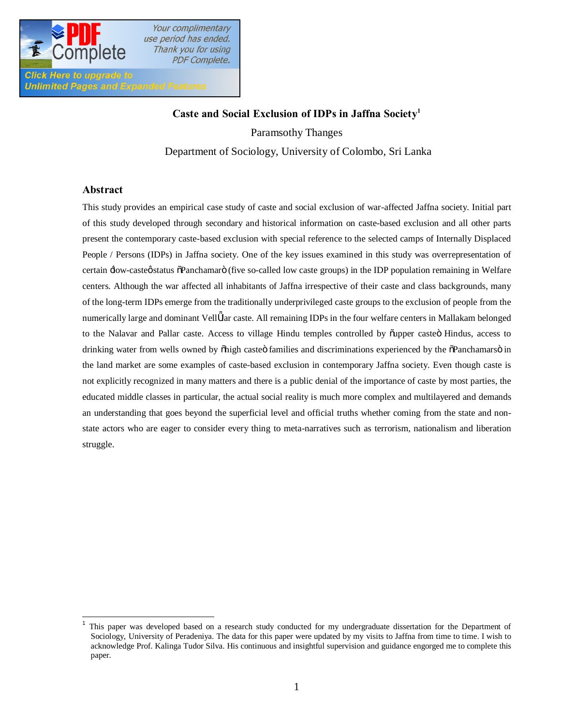

# **Caste and Social Exclusion of IDPs in Jaffna Society1**

Paramsothy Thanges

Department of Sociology, University of Colombo, Sri Lanka

#### **Abstract**

Unlimited Pages and Expanded Features

This study provides an empirical case study of caste and social exclusion of war-affected Jaffna society. Initial part of this study developed through secondary and historical information on caste-based exclusion and all other parts present the contemporary caste-based exclusion with special reference to the selected camps of Internally Displaced People / Persons (IDPs) in Jaffna society. One of the key issues examined in this study was overrepresentation of certain  $\exists$ ow-casteø status  $\delta$ Panchamarö (five so-called low caste groups) in the IDP population remaining in Welfare centers. Although the war affected all inhabitants of Jaffna irrespective of their caste and class backgrounds, many of the long-term IDPs emerge from the traditionally underprivileged caste groups to the exclusion of people from the numerically large and dominant Vell lar caste. All remaining IDPs in the four welfare centers in Mallakam belonged to the Nalavar and Pallar caste. Access to village Hindu temples controlled by õupper casteö Hindus, access to drinking water from wells owned by  $\delta$ high caste $\ddot{o}$  families and discriminations experienced by the  $\ddot{o}$ Panchamars $\ddot{o}$  in the land market are some examples of caste-based exclusion in contemporary Jaffna society. Even though caste is not explicitly recognized in many matters and there is a public denial of the importance of caste by most parties, the educated middle classes in particular, the actual social reality is much more complex and multilayered and demands an understanding that goes beyond the superficial level and official truths whether coming from the state and nonstate actors who are eager to consider every thing to meta-narratives such as terrorism, nationalism and liberation struggle.

<sup>1</sup> This paper was developed based on a research study conducted for my undergraduate dissertation for the Department of Sociology, University of Peradeniya. The data for this paper were updated by my visits to Jaffna from time to time. I wish to acknowledge Prof. Kalinga Tudor Silva. His continuous and insightful supervision and guidance engorged me to complete this paper.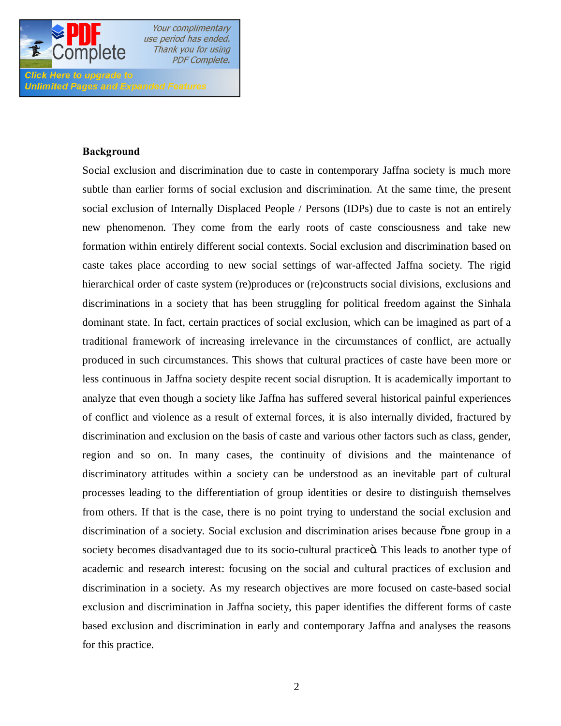

Click Here to upgrade to

Your complimentary use period has ended. Thank you for using **PDF Complete.** 

**Unlimited Pages and Expanded Features** 

#### **Background**

Social exclusion and discrimination due to caste in contemporary Jaffna society is much more subtle than earlier forms of social exclusion and discrimination. At the same time, the present social exclusion of Internally Displaced People / Persons (IDPs) due to caste is not an entirely new phenomenon. They come from the early roots of caste consciousness and take new formation within entirely different social contexts. Social exclusion and discrimination based on caste takes place according to new social settings of war-affected Jaffna society. The rigid hierarchical order of caste system (re)produces or (re)constructs social divisions, exclusions and discriminations in a society that has been struggling for political freedom against the Sinhala dominant state. In fact, certain practices of social exclusion, which can be imagined as part of a traditional framework of increasing irrelevance in the circumstances of conflict, are actually produced in such circumstances. This shows that cultural practices of caste have been more or less continuous in Jaffna society despite recent social disruption. It is academically important to analyze that even though a society like Jaffna has suffered several historical painful experiences of conflict and violence as a result of external forces, it is also internally divided, fractured by discrimination and exclusion on the basis of caste and various other factors such as class, gender, region and so on. In many cases, the continuity of divisions and the maintenance of discriminatory attitudes within a society can be understood as an inevitable part of cultural processes leading to the differentiation of group identities or desire to distinguish themselves from others. If that is the case, there is no point trying to understand the social exclusion and discrimination of a society. Social exclusion and discrimination arises because one group in a society becomes disadvantaged due to its socio-cultural practice o. This leads to another type of academic and research interest: focusing on the social and cultural practices of exclusion and discrimination in a society. As my research objectives are more focused on caste-based social exclusion and discrimination in Jaffna society, this paper identifies the different forms of caste based exclusion and discrimination in early and contemporary Jaffna and analyses the reasons for this practice.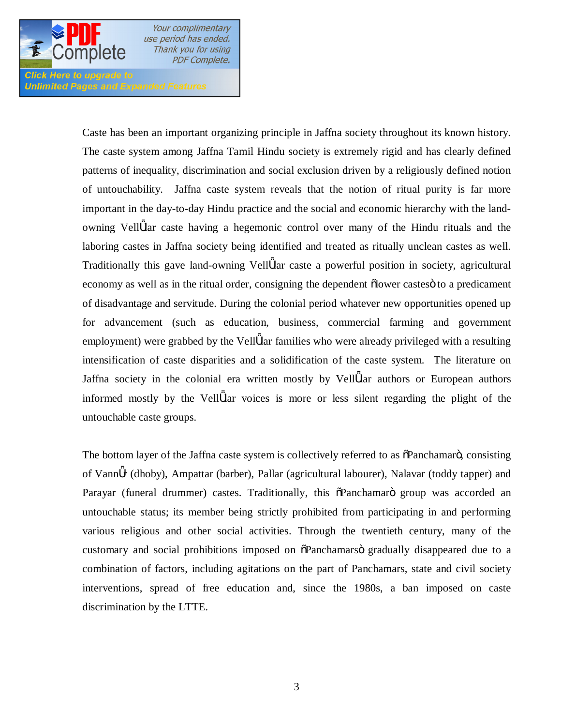

**Click Here to upgrade to Unlimited Pages and Expanded Features** 

> Caste has been an important organizing principle in Jaffna society throughout its known history. The caste system among Jaffna Tamil Hindu society is extremely rigid and has clearly defined patterns of inequality, discrimination and social exclusion driven by a religiously defined notion of untouchability. Jaffna caste system reveals that the notion of ritual purity is far more important in the day-to-day Hindu practice and the social and economic hierarchy with the landowning Vell lar caste having a hegemonic control over many of the Hindu rituals and the laboring castes in Jaffna society being identified and treated as ritually unclean castes as well. Traditionally this gave land-owning Vell lar caste a powerful position in society, agricultural economy as well as in the ritual order, consigning the dependent  $\delta$  lower castes  $\delta$  to a predicament of disadvantage and servitude. During the colonial period whatever new opportunities opened up for advancement (such as education, business, commercial farming and government employment) were grabbed by the Vell lar families who were already privileged with a resulting intensification of caste disparities and a solidification of the caste system. The literature on Jaffna society in the colonial era written mostly by Vell lar authors or European authors informed mostly by the Vell lar voices is more or less silent regarding the plight of the untouchable caste groups.

> The bottom layer of the Jaffna caste system is collectively referred to as  $\delta$ Panchamar $\ddot{o}$ , consisting of Vann r (dhoby), Ampattar (barber), Pallar (agricultural labourer), Nalavar (toddy tapper) and Parayar (funeral drummer) castes. Traditionally, this  $\tilde{\alpha}$ Panchamaro group was accorded an untouchable status; its member being strictly prohibited from participating in and performing various religious and other social activities. Through the twentieth century, many of the customary and social prohibitions imposed on  $\delta$ Panchamars gradually disappeared due to a combination of factors, including agitations on the part of Panchamars, state and civil society interventions, spread of free education and, since the 1980s, a ban imposed on caste discrimination by the LTTE.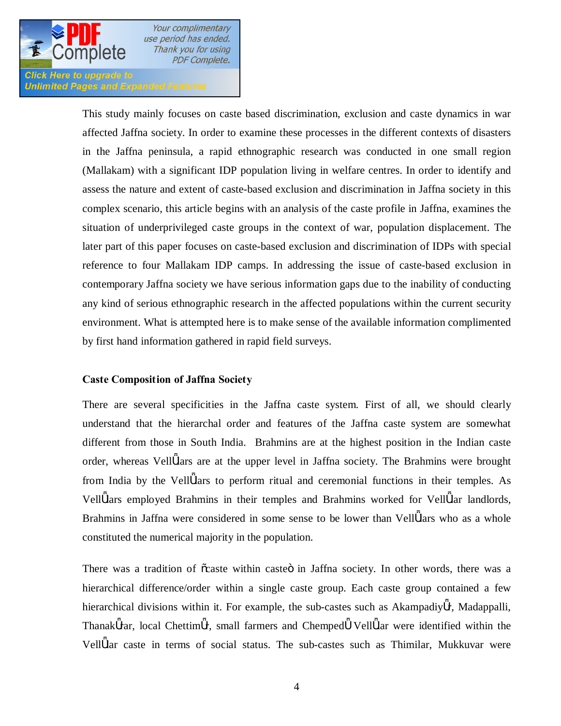

Click Here to upgrade to **Unlimited Pages and Expanded Features** 

> This study mainly focuses on caste based discrimination, exclusion and caste dynamics in war affected Jaffna society. In order to examine these processes in the different contexts of disasters in the Jaffna peninsula, a rapid ethnographic research was conducted in one small region (Mallakam) with a significant IDP population living in welfare centres. In order to identify and assess the nature and extent of caste-based exclusion and discrimination in Jaffna society in this complex scenario, this article begins with an analysis of the caste profile in Jaffna, examines the situation of underprivileged caste groups in the context of war, population displacement. The later part of this paper focuses on caste-based exclusion and discrimination of IDPs with special reference to four Mallakam IDP camps. In addressing the issue of caste-based exclusion in contemporary Jaffna society we have serious information gaps due to the inability of conducting any kind of serious ethnographic research in the affected populations within the current security environment. What is attempted here is to make sense of the available information complimented by first hand information gathered in rapid field surveys.

## **Caste Composition of Jaffna Society**

There are several specificities in the Jaffna caste system. First of all, we should clearly understand that the hierarchal order and features of the Jaffna caste system are somewhat different from those in South India. Brahmins are at the highest position in the Indian caste order, whereas Vell lars are at the upper level in Jaffna society. The Brahmins were brought from India by the Vell lars to perform ritual and ceremonial functions in their temples. As Vell lars employed Brahmins in their temples and Brahmins worked for Vell lar landlords, Brahmins in Jaffna were considered in some sense to be lower than Vell lars who as a whole constituted the numerical majority in the population.

There was a tradition of  $\tilde{o}$ caste within casteö in Jaffna society. In other words, there was a hierarchical difference/order within a single caste group. Each caste group contained a few hierarchical divisions within it. For example, the sub-castes such as Akampadiy r, Madappalli, Thanak rar, local Chettim r, small farmers and Chemped Vell lar were identified within the Vell lar caste in terms of social status. The sub-castes such as Thimilar, Mukkuvar were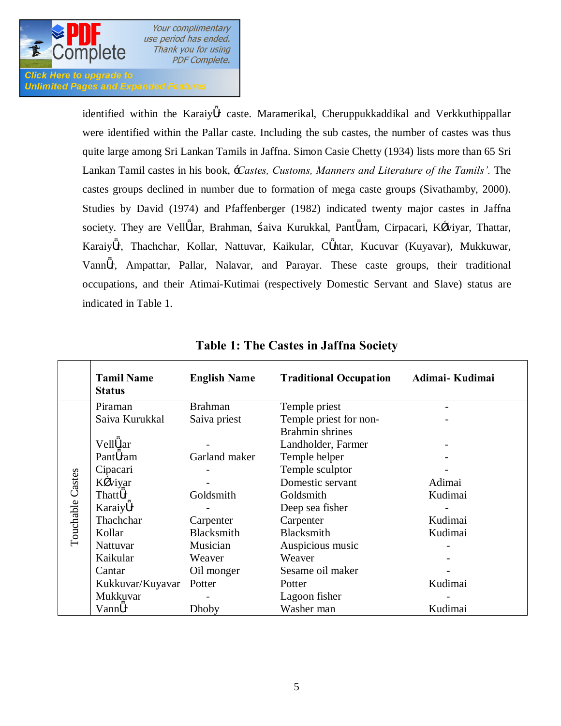

**Unlimited Pages and Expanded Features** 

identified within the Karaiy r caste. Maramerikal, Cheruppukkaddikal and Verkkuthippallar were identified within the Pallar caste. Including the sub castes, the number of castes was thus quite large among Sri Lankan Tamils in Jaffna. Simon Casie Chetty (1934) lists more than 65 Sri Lankan Tamil castes in his book, '*Castes, Customs, Manners and Literature of the Tamils'.* The castes groups declined in number due to formation of mega caste groups (Sivathamby, 2000). Studies by David (1974) and Pfaffenberger (1982) indicated twenty major castes in Jaffna society. They are Vell lar, Brahman, aiva Kurukkal, Pant ram, Cirpacari, K viyar, Thattar, Karaiy r, Thachchar, Kollar, Nattuvar, Kaikular, C ntar, Kucuvar (Kuyavar), Mukkuwar, Vann r, Ampattar, Pallar, Nalavar, and Parayar. These caste groups, their traditional occupations, and their Atimai-Kutimai (respectively Domestic Servant and Slave) status are indicated in Table 1.

|                  | <b>Tamil Name</b><br><b>Status</b> | <b>English Name</b> | <b>Traditional Occupation</b> | Adimai-Kudimai |
|------------------|------------------------------------|---------------------|-------------------------------|----------------|
|                  | Piraman                            | <b>Brahman</b>      | Temple priest                 |                |
|                  | Saiva Kurukkal                     | Saiva priest        | Temple priest for non-        |                |
|                  |                                    |                     | <b>Brahmin shrines</b>        |                |
|                  | Vell lar                           |                     | Landholder, Farmer            |                |
|                  | Pant ram                           | Garland maker       | Temple helper                 |                |
|                  | Cipacari                           |                     | Temple sculptor               |                |
| Touchable Castes | K viyar                            |                     | Domestic servant              | Adimai         |
|                  | Thatt r                            | Goldsmith           | Goldsmith                     | Kudimai        |
|                  | Karaiy r                           |                     | Deep sea fisher               |                |
|                  | Thachchar                          | Carpenter           | Carpenter                     | Kudimai        |
|                  | Kollar                             | Blacksmith          | Blacksmith                    | Kudimai        |
|                  | Nattuvar                           | Musician            | Auspicious music              |                |
|                  | Kaikular                           | Weaver              | Weaver                        |                |
|                  | Oil monger<br>Cantar               |                     | Sesame oil maker              |                |
|                  | Kukkuvar/Kuyavar                   | Potter              | Potter                        | Kudimai        |
|                  | Mukkuvar                           |                     | Lagoon fisher                 |                |
|                  | Vann r                             | Dhoby               | Washer man                    | Kudimai        |

## **Table 1: The Castes in Jaffna Society**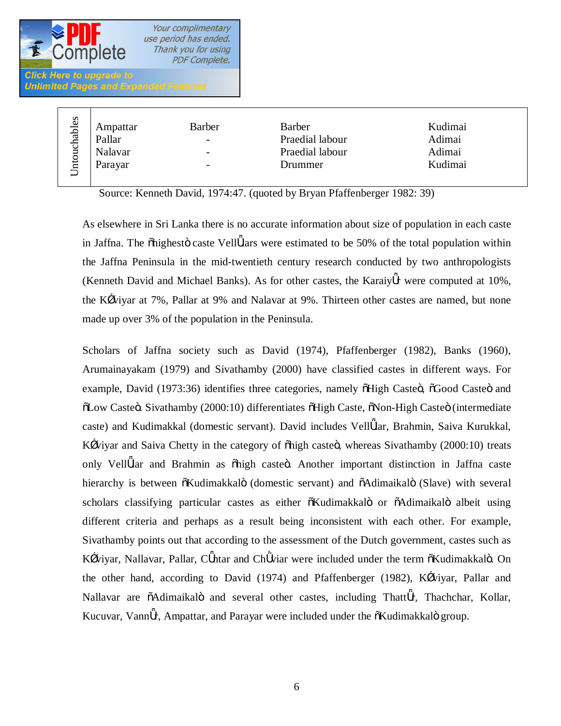

| hables<br>ਪੁੱ<br>ntoi | Ampattar<br>Pallar<br>Nalavar<br>Parayar | <b>Barber</b><br>-<br>-<br>$\overline{\phantom{a}}$ | <b>Barber</b><br>Praedial labour<br>Praedial labour<br>Drummer | Kudimai<br>Adimai<br>Adimai<br>Kudimai |  |
|-----------------------|------------------------------------------|-----------------------------------------------------|----------------------------------------------------------------|----------------------------------------|--|
| $\overline{}$         |                                          |                                                     |                                                                |                                        |  |

Source: Kenneth David, 1974:47. (quoted by Bryan Pfaffenberger 1982: 39)

As elsewhere in Sri Lanka there is no accurate information about size of population in each caste in Jaffna. The  $\delta$ highesto caste Vell lars were estimated to be 50% of the total population within the Jaffna Peninsula in the mid-twentieth century research conducted by two anthropologists (Kenneth David and Michael Banks). As for other castes, the Karaiy r were computed at 10%, the K viyar at 7%, Pallar at 9% and Nalavar at 9%. Thirteen other castes are named, but none made up over 3% of the population in the Peninsula.

Scholars of Jaffna society such as David (1974), Pfaffenberger (1982), Banks (1960), Arumainayakam (1979) and Sivathamby (2000) have classified castes in different ways. For example, David (1973:36) identifies three categories, namely  $\tilde{o}$ High Caste $\tilde{o}$ ,  $\tilde{o}$ Good Caste $\tilde{o}$  and  $\delta$ Low Caste $\delta$ . Sivathamby (2000:10) differentiates  $\delta$ High Caste,  $\delta$ Non-High Caste $\delta$  (intermediate caste) and Kudimakkal (domestic servant). David includes Vell lar, Brahmin, Saiva Kurukkal, K viyar and Saiva Chetty in the category of  $\delta$ high caste $\ddot{\rm o}$ , whereas Sivathamby (2000:10) treats only Vell lar and Brahmin as õhigh casteö. Another important distinction in Jaffna caste hierarchy is between  $\tilde{o}$ Kudimakkalö (domestic servant) and  $\tilde{o}$ Adimaikalö (Slave) with several scholars classifying particular castes as either  $\tilde{o}$ Kudimakkalö or  $\tilde{o}$ Adimaikalö albeit using different criteria and perhaps as a result being inconsistent with each other. For example, Sivathamby points out that according to the assessment of the Dutch government, castes such as K viyar, Nallavar, Pallar, C ntar and Ch viar were included under the term  $\tilde{o}K$ udimakkalö. On the other hand, according to David (1974) and Pfaffenberger (1982), K viyar, Pallar and Nallavar are  $\delta$ Adimaikalö and several other castes, including Thatt r, Thachchar, Kollar, Kucuvar, Vann r, Ampattar, and Parayar were included under the  $\delta$ Kudimakkalö group.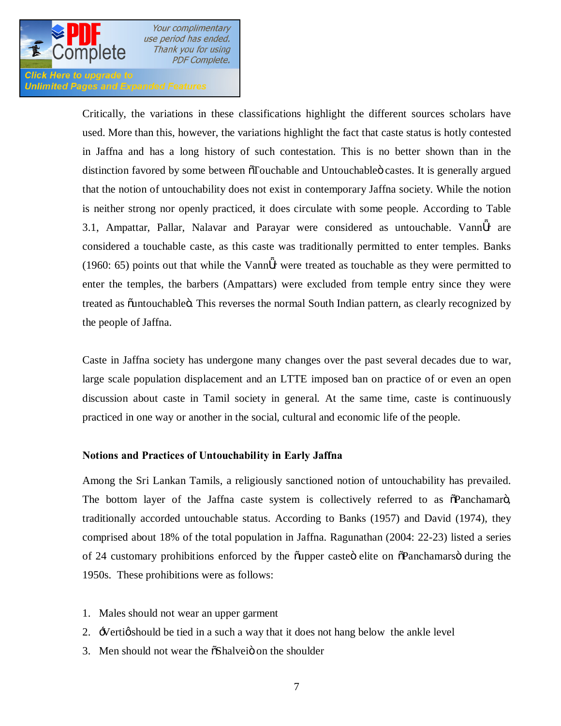

**Click Here to upgrade to Unlimited Pages and Expanded Features** 

> Critically, the variations in these classifications highlight the different sources scholars have used. More than this, however, the variations highlight the fact that caste status is hotly contested in Jaffna and has a long history of such contestation. This is no better shown than in the distinction favored by some between  $\tilde{o}$ Touchable and Untouchable $\ddot{o}$  castes. It is generally argued that the notion of untouchability does not exist in contemporary Jaffna society. While the notion is neither strong nor openly practiced, it does circulate with some people. According to Table 3.1, Ampattar, Pallar, Nalavar and Parayar were considered as untouchable. Vann r are considered a touchable caste, as this caste was traditionally permitted to enter temples. Banks (1960: 65) points out that while the Vann r were treated as touchable as they were permitted to enter the temples, the barbers (Ampattars) were excluded from temple entry since they were treated as  $\ddot{\text{o}}$ untouchable $\ddot{\text{o}}$ . This reverses the normal South Indian pattern, as clearly recognized by the people of Jaffna.

> Caste in Jaffna society has undergone many changes over the past several decades due to war, large scale population displacement and an LTTE imposed ban on practice of or even an open discussion about caste in Tamil society in general. At the same time, caste is continuously practiced in one way or another in the social, cultural and economic life of the people.

## **Notions and Practices of Untouchability in Early Jaffna**

Among the Sri Lankan Tamils, a religiously sanctioned notion of untouchability has prevailed. The bottom layer of the Jaffna caste system is collectively referred to as  $\delta$ Panchamar $\ddot{o}$ , traditionally accorded untouchable status. According to Banks (1957) and David (1974), they comprised about 18% of the total population in Jaffna. Ragunathan (2004: 22-23) listed a series of 24 customary prohibitions enforced by the quapper casted elite on  $\delta$ Panchamars during the 1950s. These prohibitions were as follows:

- 1. Males should not wear an upper garment
- 2. Vertig should be tied in a such a way that it does not hang below the ankle level
- 3. Men should not wear the  $\delta$ Shalvei $\ddot{o}$  on the shoulder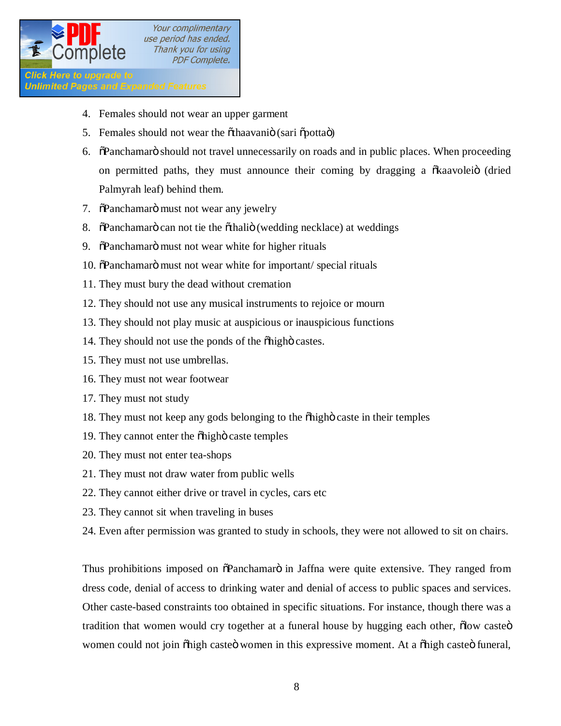

**Click Here to upgrade to Unlimited Pages and Expanded Features** 

- 4. Females should not wear an upper garment
- 5. Females should not wear the õthaavaniö (sari õpottaö)
- 6. The operator of should not travel unnecessarily on roads and in public places. When proceeding on permitted paths, they must announce their coming by dragging a  $\delta$ kaavolei $\delta$  (dried Palmyrah leaf) behind them.
- 7.  $\delta$ Panchamarö must not wear any jewelry
- 8. The Tanchamaro can not tie the  $\ddot{\text{o}}$ thalio (wedding necklace) at weddings
- 9.  $\ddot{\text{o}}$ Panchamarö must not wear white for higher rituals
- 10.  $\delta$ Panchamarö must not wear white for important/ special rituals
- 11. They must bury the dead without cremation
- 12. They should not use any musical instruments to rejoice or mourn
- 13. They should not play music at auspicious or inauspicious functions
- 14. They should not use the ponds of the  $\ddot{\text{o}}$  high castes.
- 15. They must not use umbrellas.
- 16. They must not wear footwear
- 17. They must not study
- 18. They must not keep any gods belonging to the  $\delta$ high caste in their temples
- 19. They cannot enter the  $\delta$ highö caste temples
- 20. They must not enter tea-shops
- 21. They must not draw water from public wells
- 22. They cannot either drive or travel in cycles, cars etc
- 23. They cannot sit when traveling in buses
- 24. Even after permission was granted to study in schools, they were not allowed to sit on chairs.

Thus prohibitions imposed on  $\tilde{\alpha}$ Panchamarö in Jaffna were quite extensive. They ranged from dress code, denial of access to drinking water and denial of access to public spaces and services. Other caste-based constraints too obtained in specific situations. For instance, though there was a tradition that women would cry together at a funeral house by hugging each other,  $\delta$ low caste $\ddot{\sigma}$ women could not join õhigh casteö women in this expressive moment. At a õhigh casteö funeral,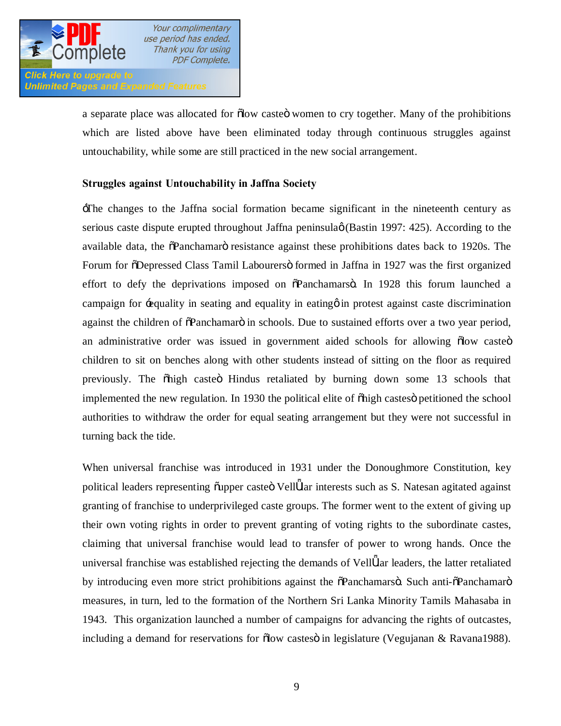

**Unlimited Pages and Expanded Features** 

a separate place was allocated for  $\delta$ low caste $\ddot{\sigma}$  women to cry together. Many of the prohibitions which are listed above have been eliminated today through continuous struggles against untouchability, while some are still practiced in the new social arrangement.

## **Struggles against Untouchability in Jaffna Society**

'The changes to the Jaffna social formation became significant in the nineteenth century as serious caste dispute erupted throughout Jaffna peninsula (Bastin 1997: 425). According to the available data, the  $\delta$ Panchamaro resistance against these prohibitions dates back to 1920s. The Forum for  $\delta$ Depressed Class Tamil Labourers $\delta$  formed in Jaffna in 1927 was the first organized effort to defy the deprivations imposed on  $\delta$ Panchamars $\ddot{o}$ . In 1928 this forum launched a campaign for 'equality in seating and equality in eating' in protest against caste discrimination against the children of  $\tilde{\alpha}$ Panchamar $\tilde{\alpha}$  in schools. Due to sustained efforts over a two year period, an administrative order was issued in government aided schools for allowing  $\delta$ low caste $\ddot{o}$ children to sit on benches along with other students instead of sitting on the floor as required previously. The  $\delta$ high caste $\ddot{\text{o}}$  Hindus retaliated by burning down some 13 schools that implemented the new regulation. In 1930 the political elite of  $\delta$ high castes petitioned the school authorities to withdraw the order for equal seating arrangement but they were not successful in turning back the tide.

When universal franchise was introduced in 1931 under the Donoughmore Constitution, key political leaders representing õupper casteö Vell lar interests such as S. Natesan agitated against granting of franchise to underprivileged caste groups. The former went to the extent of giving up their own voting rights in order to prevent granting of voting rights to the subordinate castes, claiming that universal franchise would lead to transfer of power to wrong hands. Once the universal franchise was established rejecting the demands of Vell lar leaders, the latter retaliated by introducing even more strict prohibitions against the  $\tilde{\alpha}$ Panchamarsö. Such anti- $\tilde{\alpha}$ Panchamarö measures, in turn, led to the formation of the Northern Sri Lanka Minority Tamils Mahasaba in 1943. This organization launched a number of campaigns for advancing the rights of outcastes, including a demand for reservations for  $\delta$ low castes $\ddot{o}$  in legislature (Vegujanan & Ravana1988).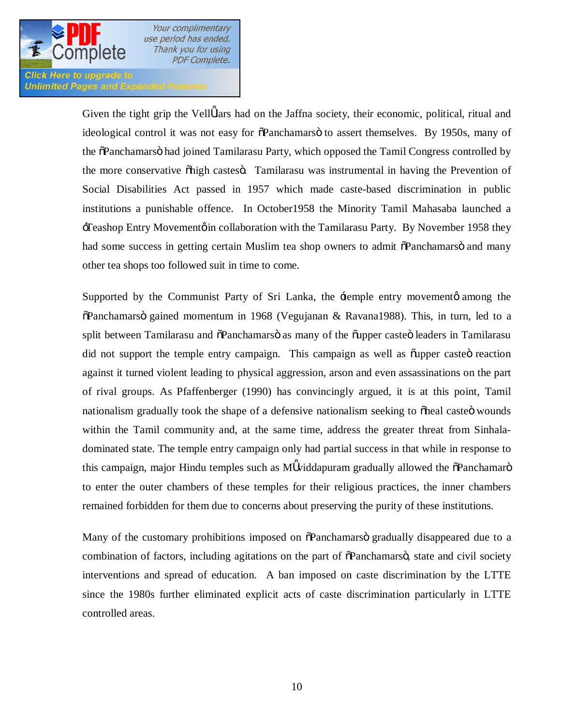

#### **Click Here to upgrade to Unlimited Pages and Expanded Features**

Given the tight grip the Vell lars had on the Jaffna society, their economic, political, ritual and ideological control it was not easy for  $\tilde{\Omega}$ Panchamarso to assert themselves. By 1950s, many of the  $\delta$ Panchamars had joined Tamilarasu Party, which opposed the Tamil Congress controlled by the more conservative  $\delta$ high castes $\ddot{o}$ . Tamilarasu was instrumental in having the Prevention of Social Disabilities Act passed in 1957 which made caste-based discrimination in public institutions a punishable offence. In October1958 the Minority Tamil Mahasaba launched a Teashop Entry Movement in collaboration with the Tamilarasu Party. By November 1958 they had some success in getting certain Muslim tea shop owners to admit  $\delta$ Panchamars $\ddot{o}$  and many other tea shops too followed suit in time to come.

Supported by the Communist Party of Sri Lanka, the  $\pm$ emple entry movement $\phi$  among the  $\delta$ Panchamars $\ddot{o}$  gained momentum in 1968 (Vegujanan & Ravana1988). This, in turn, led to a split between Tamilarasu and  $\delta$ Panchamarso as many of the  $\delta$ upper casteo leaders in Tamilarasu did not support the temple entry campaign. This campaign as well as  $\tilde{\text{output}}$  caste $\ddot{\text{o}}$  reaction against it turned violent leading to physical aggression, arson and even assassinations on the part of rival groups. As Pfaffenberger (1990) has convincingly argued, it is at this point, Tamil nationalism gradually took the shape of a defensive nationalism seeking to osheal casted wounds within the Tamil community and, at the same time, address the greater threat from Sinhaladominated state. The temple entry campaign only had partial success in that while in response to this campaign, major Hindu temples such as M viddapuram gradually allowed the  $\delta$ Panchamaro to enter the outer chambers of these temples for their religious practices, the inner chambers remained forbidden for them due to concerns about preserving the purity of these institutions.

Many of the customary prohibitions imposed on  $\delta$ Panchamarso gradually disappeared due to a combination of factors, including agitations on the part of  $\tilde{\alpha}$ Panchamars $\tilde{\alpha}$ , state and civil society interventions and spread of education. A ban imposed on caste discrimination by the LTTE since the 1980s further eliminated explicit acts of caste discrimination particularly in LTTE controlled areas.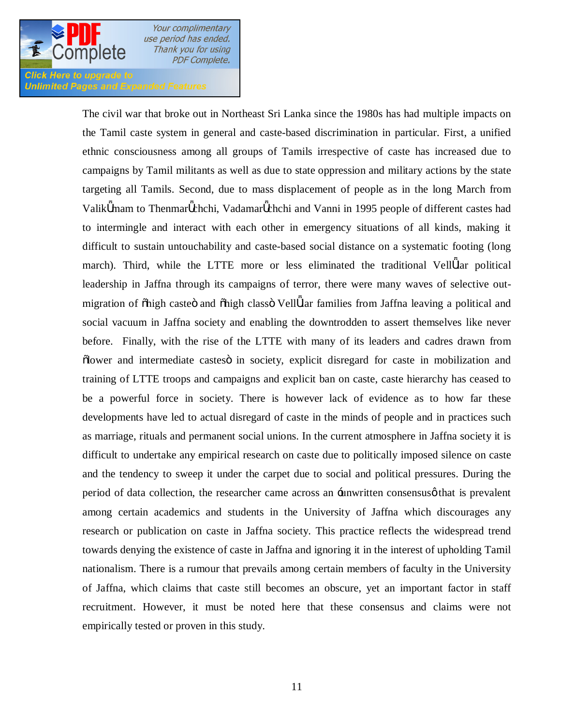

**Click Here to upgrade to Unlimited Pages and Expanded Features** 

> The civil war that broke out in Northeast Sri Lanka since the 1980s has had multiple impacts on the Tamil caste system in general and caste-based discrimination in particular. First, a unified ethnic consciousness among all groups of Tamils irrespective of caste has increased due to campaigns by Tamil militants as well as due to state oppression and military actions by the state targeting all Tamils. Second, due to mass displacement of people as in the long March from Valik mam to Thenmar chchi, Vadamar chchi and Vanni in 1995 people of different castes had to intermingle and interact with each other in emergency situations of all kinds, making it difficult to sustain untouchability and caste-based social distance on a systematic footing (long march). Third, while the LTTE more or less eliminated the traditional Vell lar political leadership in Jaffna through its campaigns of terror, there were many waves of selective outmigration of õhigh casteö and õhigh classö Vell lar families from Jaffna leaving a political and social vacuum in Jaffna society and enabling the downtrodden to assert themselves like never before. Finally, with the rise of the LTTE with many of its leaders and cadres drawn from  $\delta$ lower and intermediate castes in society, explicit disregard for caste in mobilization and training of LTTE troops and campaigns and explicit ban on caste, caste hierarchy has ceased to be a powerful force in society. There is however lack of evidence as to how far these developments have led to actual disregard of caste in the minds of people and in practices such as marriage, rituals and permanent social unions. In the current atmosphere in Jaffna society it is difficult to undertake any empirical research on caste due to politically imposed silence on caste and the tendency to sweep it under the carpet due to social and political pressures. During the period of data collection, the researcher came across an -unwritten consensus that is prevalent among certain academics and students in the University of Jaffna which discourages any research or publication on caste in Jaffna society. This practice reflects the widespread trend towards denying the existence of caste in Jaffna and ignoring it in the interest of upholding Tamil nationalism. There is a rumour that prevails among certain members of faculty in the University of Jaffna, which claims that caste still becomes an obscure, yet an important factor in staff recruitment. However, it must be noted here that these consensus and claims were not empirically tested or proven in this study.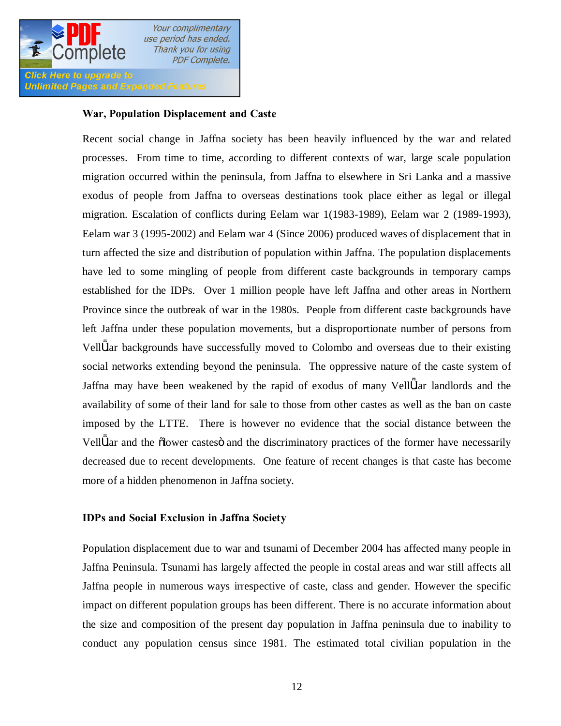

**Unlimited Pages and Expanded Features** 

## **War, Population Displacement and Caste**

Recent social change in Jaffna society has been heavily influenced by the war and related processes. From time to time, according to different contexts of war, large scale population migration occurred within the peninsula, from Jaffna to elsewhere in Sri Lanka and a massive exodus of people from Jaffna to overseas destinations took place either as legal or illegal migration. Escalation of conflicts during Eelam war 1(1983-1989), Eelam war 2 (1989-1993), Eelam war 3 (1995-2002) and Eelam war 4 (Since 2006) produced waves of displacement that in turn affected the size and distribution of population within Jaffna. The population displacements have led to some mingling of people from different caste backgrounds in temporary camps established for the IDPs. Over 1 million people have left Jaffna and other areas in Northern Province since the outbreak of war in the 1980s. People from different caste backgrounds have left Jaffna under these population movements, but a disproportionate number of persons from Vell lar backgrounds have successfully moved to Colombo and overseas due to their existing social networks extending beyond the peninsula. The oppressive nature of the caste system of Jaffna may have been weakened by the rapid of exodus of many Vell lar landlords and the availability of some of their land for sale to those from other castes as well as the ban on caste imposed by the LTTE. There is however no evidence that the social distance between the Vell lar and the  $\delta$ lower castes and the discriminatory practices of the former have necessarily decreased due to recent developments. One feature of recent changes is that caste has become more of a hidden phenomenon in Jaffna society.

## **IDPs and Social Exclusion in Jaffna Society**

Population displacement due to war and tsunami of December 2004 has affected many people in Jaffna Peninsula. Tsunami has largely affected the people in costal areas and war still affects all Jaffna people in numerous ways irrespective of caste, class and gender. However the specific impact on different population groups has been different. There is no accurate information about the size and composition of the present day population in Jaffna peninsula due to inability to conduct any population census since 1981. The estimated total civilian population in the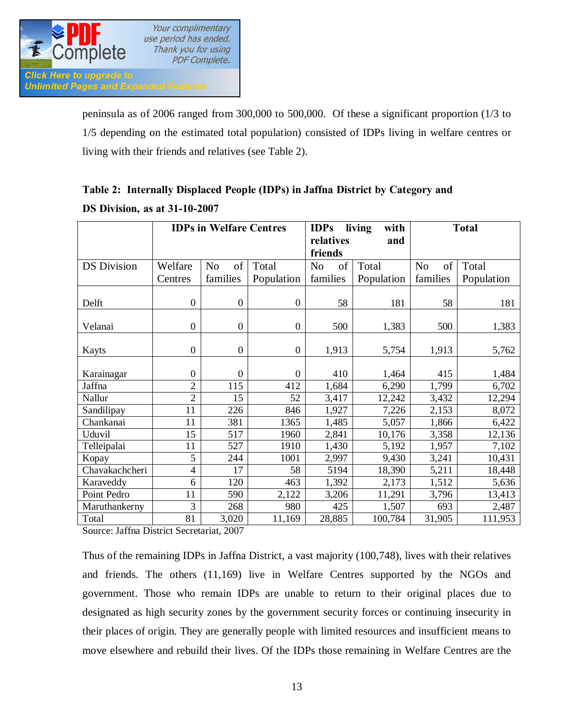

peninsula as of 2006 ranged from 300,000 to 500,000. Of these a significant proportion (1/3 to 1/5 depending on the estimated total population) consisted of IDPs living in welfare centres or living with their friends and relatives (see Table 2).

|                    | <b>IDPs in Welfare Centres</b> |                      | <b>IDPs</b>                 | living<br>with       |            | <b>Total</b>         |            |
|--------------------|--------------------------------|----------------------|-----------------------------|----------------------|------------|----------------------|------------|
|                    |                                |                      | relatives<br>and<br>friends |                      |            |                      |            |
|                    |                                |                      |                             |                      |            |                      |            |
| <b>DS</b> Division | Welfare                        | of<br>N <sub>o</sub> | Total                       | of<br>N <sub>o</sub> | Total      | of<br>N <sub>0</sub> | Total      |
|                    | Centres                        | families             | Population                  | families             | Population | families             | Population |
|                    |                                |                      |                             |                      |            |                      |            |
| Delft              | $\mathbf{0}$                   | $\boldsymbol{0}$     | $\mathbf{0}$                | 58                   | 181        | 58                   | 181        |
|                    |                                |                      |                             |                      |            |                      |            |
| Velanai            | $\overline{0}$                 | $\overline{0}$       | $\boldsymbol{0}$            | 500                  | 1,383      | 500                  | 1,383      |
|                    |                                |                      |                             |                      |            |                      |            |
| Kayts              | $\overline{0}$                 | $\mathbf{0}$         | $\boldsymbol{0}$            | 1,913                | 5,754      | 1,913                | 5,762      |
|                    |                                |                      |                             |                      |            |                      |            |
| Karainagar         | 0                              | $\overline{0}$       | $\mathbf{0}$                | 410                  | 1,464      | 415                  | 1,484      |
| Jaffna             | $\overline{2}$                 | 115                  | 412                         | 1,684                | 6,290      | 1,799                | 6,702      |
| Nallur             | $\overline{2}$                 | 15                   | 52                          | 3,417                | 12,242     | 3,432                | 12,294     |
| Sandilipay         | 11                             | 226                  | 846                         | 1,927                | 7,226      | 2,153                | 8,072      |
| Chankanai          | 11                             | 381                  | 1365                        | 1,485                | 5,057      | 1,866                | 6,422      |
| Uduvil             | 15                             | 517                  | 1960                        | 2,841                | 10,176     | 3,358                | 12,136     |
| Telleipalai        | 11                             | 527                  | 1910                        | 1,430                | 5,192      | 1,957                | 7,102      |
| Kopay              | 5                              | 244                  | 1001                        | 2,997                | 9,430      | 3,241                | 10,431     |
| Chavakachcheri     | 4                              | 17                   | 58                          | 5194                 | 18,390     | 5,211                | 18,448     |
| Karaveddy          | 6                              | 120                  | 463                         | 1,392                | 2,173      | 1,512                | 5,636      |
| Point Pedro        | 11                             | 590                  | 2,122                       | 3,206                | 11,291     | 3,796                | 13,413     |
| Maruthankerny      | 3                              | 268                  | 980                         | 425                  | 1,507      | 693                  | 2,487      |
| Total              | 81                             | 3,020                | 11,169                      | 28,885               | 100,784    | 31,905               | 111,953    |

## **Table 2: Internally Displaced People (IDPs) in Jaffna District by Category and DS Division, as at 31-10-2007**

Source: Jaffna District Secretariat, 2007

Thus of the remaining IDPs in Jaffna District, a vast majority (100,748), lives with their relatives and friends. The others (11,169) live in Welfare Centres supported by the NGOs and government. Those who remain IDPs are unable to return to their original places due to designated as high security zones by the government security forces or continuing insecurity in their places of origin. They are generally people with limited resources and insufficient means to move elsewhere and rebuild their lives. Of the IDPs those remaining in Welfare Centres are the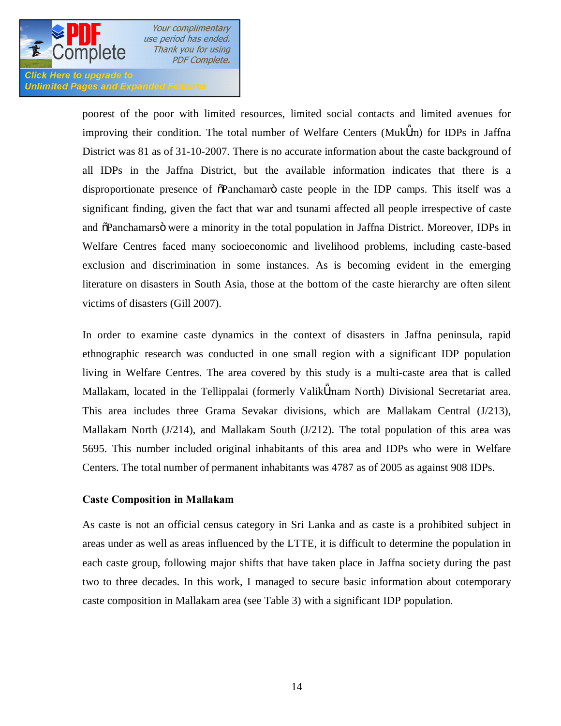

**Unlimited Pages and Expanded Features** 

poorest of the poor with limited resources, limited social contacts and limited avenues for improving their condition. The total number of Welfare Centers (Muk m) for IDPs in Jaffna District was 81 as of 31-10-2007. There is no accurate information about the caste background of all IDPs in the Jaffna District, but the available information indicates that there is a disproportionate presence of  $\tilde{\sigma}$ Panchamar $\tilde{\sigma}$  caste people in the IDP camps. This itself was a significant finding, given the fact that war and tsunami affected all people irrespective of caste and  $\delta$ Panchamars $\ddot{o}$  were a minority in the total population in Jaffna District. Moreover, IDPs in Welfare Centres faced many socioeconomic and livelihood problems, including caste-based exclusion and discrimination in some instances. As is becoming evident in the emerging literature on disasters in South Asia, those at the bottom of the caste hierarchy are often silent victims of disasters (Gill 2007).

In order to examine caste dynamics in the context of disasters in Jaffna peninsula, rapid ethnographic research was conducted in one small region with a significant IDP population living in Welfare Centres. The area covered by this study is a multi-caste area that is called Mallakam, located in the Tellippalai (formerly Valik mam North) Divisional Secretariat area. This area includes three Grama Sevakar divisions, which are Mallakam Central (J/213), Mallakam North (J/214), and Mallakam South (J/212). The total population of this area was 5695. This number included original inhabitants of this area and IDPs who were in Welfare Centers. The total number of permanent inhabitants was 4787 as of 2005 as against 908 IDPs.

## **Caste Composition in Mallakam**

As caste is not an official census category in Sri Lanka and as caste is a prohibited subject in areas under as well as areas influenced by the LTTE, it is difficult to determine the population in each caste group, following major shifts that have taken place in Jaffna society during the past two to three decades. In this work, I managed to secure basic information about cotemporary caste composition in Mallakam area (see Table 3) with a significant IDP population.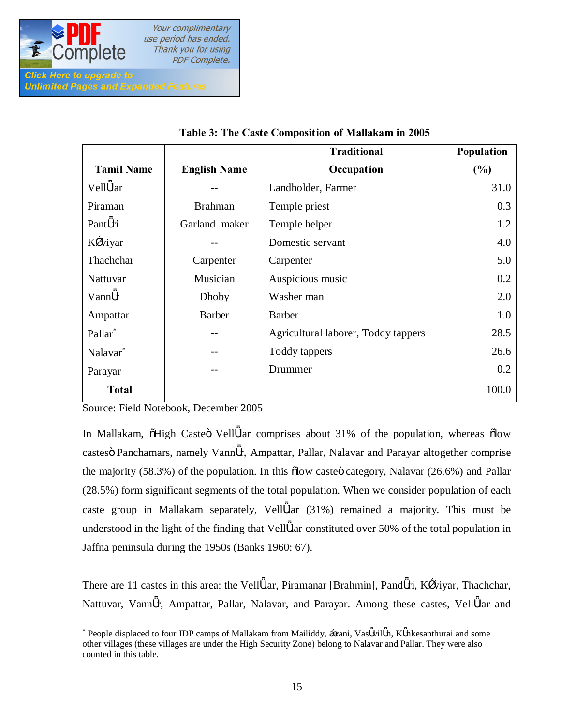

**Unlimited Pages and Expanded Features** 

 $\overline{\phantom{a}}$ 

Your complimentary use period has ended. Thank you for using **PDF Complete.** 

|                      |                     | <b>Traditional</b>                  | Population |
|----------------------|---------------------|-------------------------------------|------------|
| <b>Tamil Name</b>    | <b>English Name</b> | Occupation                          | (%)        |
| Vell lar             |                     | Landholder, Farmer                  | 31.0       |
| Piraman              | <b>Brahman</b>      | Temple priest                       | 0.3        |
| Pant ri              | Garland maker       | Temple helper                       | 1.2        |
| K viyar              |                     | Domestic servant                    | 4.0        |
| Thachchar            | Carpenter           | Carpenter                           | 5.0        |
| <b>Nattuvar</b>      | Musician            | Auspicious music                    | 0.2        |
| Vann r               | Dhoby               | Washer man                          | 2.0        |
| Ampattar             | <b>Barber</b>       | <b>Barber</b>                       | 1.0        |
| Pallar <sup>*</sup>  |                     | Agricultural laborer, Toddy tappers | 28.5       |
| Nalavar <sup>*</sup> |                     | Toddy tappers                       | 26.6       |
| Parayar              |                     | Drummer                             | 0.2        |
| <b>Total</b>         |                     |                                     | 100.0      |

## **Table 3: The Caste Composition of Mallakam in 2005**

Source: Field Notebook, December 2005

In Mallakam,  $\tilde{o}$ High Caste $\tilde{o}$  Vell lar comprises about 31% of the population, whereas  $\tilde{o}$ low castes Panchamars, namely Vann r, Ampattar, Pallar, Nalavar and Parayar altogether comprise the majority  $(58.3\%)$  of the population. In this  $\delta$ low caste $\delta$  category, Nalavar (26.6%) and Pallar (28.5%) form significant segments of the total population. When we consider population of each caste group in Mallakam separately, Vell lar (31%) remained a majority. This must be understood in the light of the finding that Vell lar constituted over 50% of the total population in Jaffna peninsula during the 1950s (Banks 1960: 67).

There are 11 castes in this area: the Vell lar, Piramanar [Brahmin], Pand ri, K viyar, Thachchar, Nattuvar, Vann r, Ampattar, Pallar, Nalavar, and Parayar. Among these castes, Vell lar and

<sup>\*</sup> People displaced to four IDP camps of Mallakam from Mailiddy, rani, Vas vil n, K nkesanthurai and some other villages (these villages are under the High Security Zone) belong to Nalavar and Pallar. They were also counted in this table.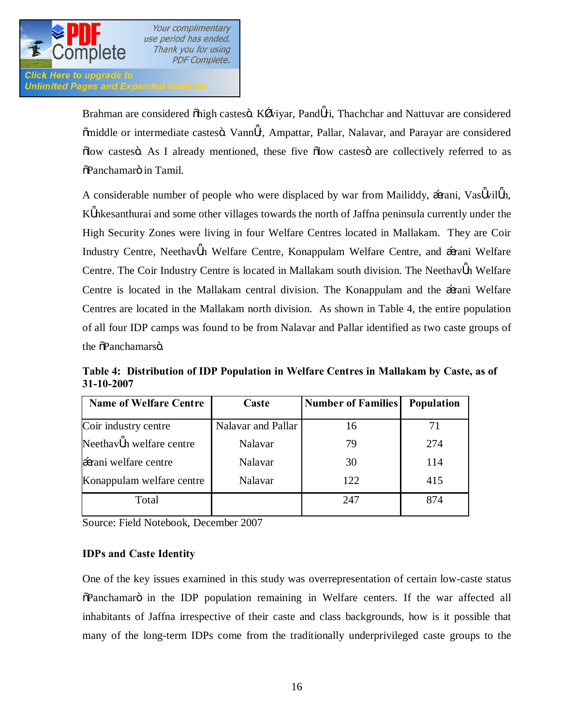**Click Here to upgrade to Unlimited Pages and Expanded Features** 

> Brahman are considered  $\ddot{\text{ohigh}}$  castes $\ddot{\text{o}}$ . K viyar, Pand ri, Thachchar and Nattuvar are considered  $\delta$ middle or intermediate castes $\ddot{o}$ . Vann r, Ampattar, Pallar, Nalavar, and Parayar are considered  $\delta$ low castes $\delta$ . As I already mentioned, these five  $\delta$ low castes $\delta$  are collectively referred to as  $\delta$ Panchamarö in Tamil.

> A considerable number of people who were displaced by war from Mailiddy, rani, Vas vil n, K nkesanthurai and some other villages towards the north of Jaffna peninsula currently under the High Security Zones were living in four Welfare Centres located in Mallakam. They are Coir Industry Centre, Neethav n Welfare Centre, Konappulam Welfare Centre, and rani Welfare Centre. The Coir Industry Centre is located in Mallakam south division. The Neethav n Welfare Centre is located in the Mallakam central division. The Konappulam and the rani Welfare Centres are located in the Mallakam north division. As shown in Table 4, the entire population of all four IDP camps was found to be from Nalavar and Pallar identified as two caste groups of the  $\delta$ Panchamarsö.

**Table 4: Distribution of IDP Population in Welfare Centres in Mallakam by Caste, as of 31-10-2007**

| <b>Name of Welfare Centre</b> | Caste              | <b>Number of Families</b> | <b>Population</b> |
|-------------------------------|--------------------|---------------------------|-------------------|
| Coir industry centre          | Nalavar and Pallar | 16                        | 71                |
| Neethav n welfare centre      | <b>Nalavar</b>     | 79                        | 274               |
| rani welfare centre           | Nalavar            | 30                        | 114               |
| Konappulam welfare centre     | Nalavar            | 122                       | 415               |
| Total                         |                    | 247                       | 874               |

Source: Field Notebook, December 2007

## **IDPs and Caste Identity**

One of the key issues examined in this study was overrepresentation of certain low-caste status  $\delta$ Panchamarö in the IDP population remaining in Welfare centers. If the war affected all inhabitants of Jaffna irrespective of their caste and class backgrounds, how is it possible that many of the long-term IDPs come from the traditionally underprivileged caste groups to the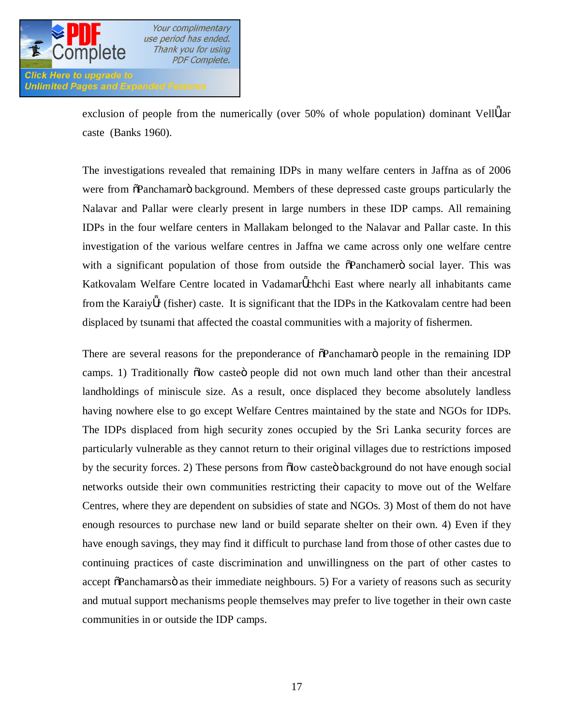

exclusion of people from the numerically (over 50% of whole population) dominant Vell lar caste (Banks 1960).

The investigations revealed that remaining IDPs in many welfare centers in Jaffna as of 2006 were from  $\tilde{\Omega}$ Panchamarö background. Members of these depressed caste groups particularly the Nalavar and Pallar were clearly present in large numbers in these IDP camps. All remaining IDPs in the four welfare centers in Mallakam belonged to the Nalavar and Pallar caste. In this investigation of the various welfare centres in Jaffna we came across only one welfare centre with a significant population of those from outside the  $\delta$ Panchamero social layer. This was Katkovalam Welfare Centre located in Vadamar chchi East where nearly all inhabitants came from the Karaiy r (fisher) caste. It is significant that the IDPs in the Katkovalam centre had been displaced by tsunami that affected the coastal communities with a majority of fishermen.

There are several reasons for the preponderance of  $\delta$ Panchamaro people in the remaining IDP camps. 1) Traditionally õlow casteö people did not own much land other than their ancestral landholdings of miniscule size. As a result, once displaced they become absolutely landless having nowhere else to go except Welfare Centres maintained by the state and NGOs for IDPs. The IDPs displaced from high security zones occupied by the Sri Lanka security forces are particularly vulnerable as they cannot return to their original villages due to restrictions imposed by the security forces. 2) These persons from  $\delta$  dow casted background do not have enough social networks outside their own communities restricting their capacity to move out of the Welfare Centres, where they are dependent on subsidies of state and NGOs. 3) Most of them do not have enough resources to purchase new land or build separate shelter on their own. 4) Even if they have enough savings, they may find it difficult to purchase land from those of other castes due to continuing practices of caste discrimination and unwillingness on the part of other castes to accept  $\tilde{\alpha}$ Panchamars $\tilde{\alpha}$  as their immediate neighbours. 5) For a variety of reasons such as security and mutual support mechanisms people themselves may prefer to live together in their own caste communities in or outside the IDP camps.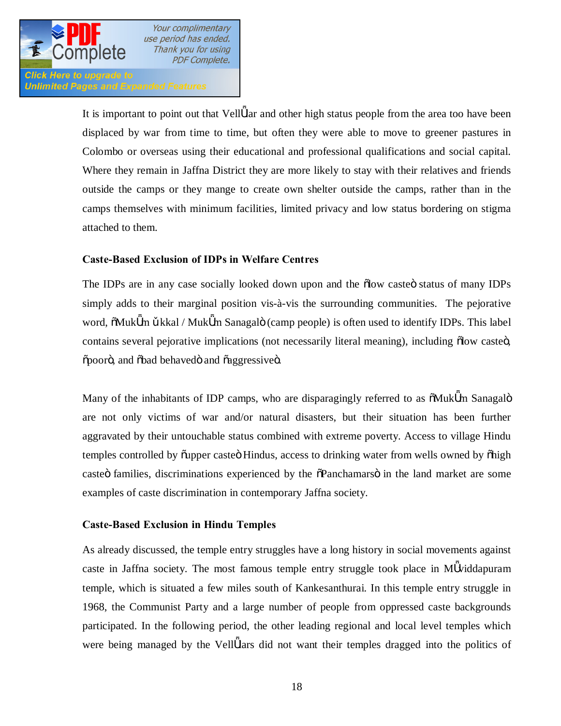**Click Here to upgrade to Unlimited Pages and Expanded Features** 

> It is important to point out that Vell lar and other high status people from the area too have been displaced by war from time to time, but often they were able to move to greener pastures in Colombo or overseas using their educational and professional qualifications and social capital. Where they remain in Jaffna District they are more likely to stay with their relatives and friends outside the camps or they mange to create own shelter outside the camps, rather than in the camps themselves with minimum facilities, limited privacy and low status bordering on stigma attached to them.

## **Caste-Based Exclusion of IDPs in Welfare Centres**

The IDPs are in any case socially looked down upon and the  $\delta$ low caste $\delta$  status of many IDPs simply adds to their marginal position vis-à-vis the surrounding communities. The pejorative word,  $\delta$ Muk m kkal / Muk m Sanagalö (camp people) is often used to identify IDPs. This label contains several pejorative implications (not necessarily literal meaning), including  $\delta$ low caste $\delta$ ,  $\delta$ pooro, and  $\delta$ bad behavedo and  $\delta$ aggressiveo.

Many of the inhabitants of IDP camps, who are disparagingly referred to as  $\delta M$ uk m Sanagalö are not only victims of war and/or natural disasters, but their situation has been further aggravated by their untouchable status combined with extreme poverty. Access to village Hindu temples controlled by  $\tilde{\text{v}}$  upper caste Hindus, access to drinking water from wells owned by  $\tilde{\text{v}}$  high caste is families, discriminations experienced by the  $\delta$ Panchamars in the land market are some examples of caste discrimination in contemporary Jaffna society.

## **Caste-Based Exclusion in Hindu Temples**

As already discussed, the temple entry struggles have a long history in social movements against caste in Jaffna society. The most famous temple entry struggle took place in M viddapuram temple, which is situated a few miles south of Kankesanthurai. In this temple entry struggle in 1968, the Communist Party and a large number of people from oppressed caste backgrounds participated. In the following period, the other leading regional and local level temples which were being managed by the Vell lars did not want their temples dragged into the politics of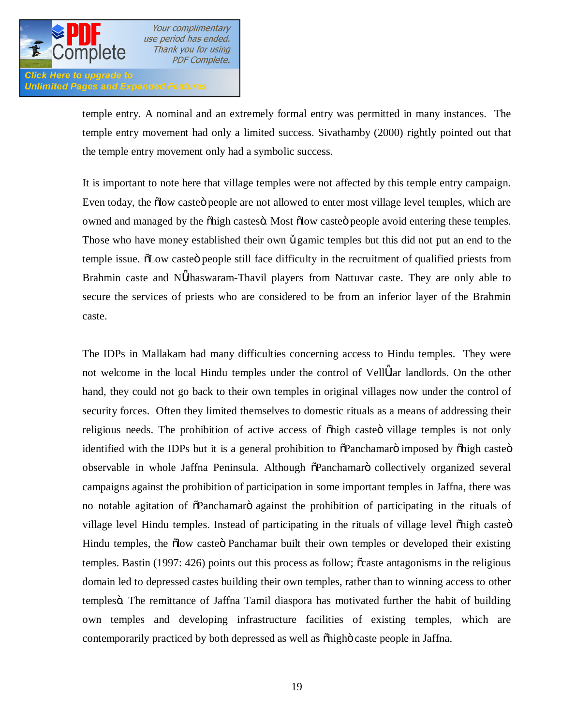

**Unlimited Pages and Expanded Features** 

Your complimentary use period has ended. Thank you for using PDF Complete.

temple entry. A nominal and an extremely formal entry was permitted in many instances. The temple entry movement had only a limited success. Sivathamby (2000) rightly pointed out that the temple entry movement only had a symbolic success.

It is important to note here that village temples were not affected by this temple entry campaign. Even today, the  $\delta$  ow caste people are not allowed to enter most village level temples, which are owned and managed by the õhigh castesö. Most õlow casteö people avoid entering these temples. Those who have money established their own gamic temples but this did not put an end to the temple issue.  $\delta$ Low caste $\ddot{\sigma}$  people still face difficulty in the recruitment of qualified priests from Brahmin caste and N thaswaram-Thavil players from Nattuvar caste. They are only able to secure the services of priests who are considered to be from an inferior layer of the Brahmin caste.

The IDPs in Mallakam had many difficulties concerning access to Hindu temples. They were not welcome in the local Hindu temples under the control of Vell lar landlords. On the other hand, they could not go back to their own temples in original villages now under the control of security forces. Often they limited themselves to domestic rituals as a means of addressing their religious needs. The prohibition of active access of onligh casted village temples is not only identified with the IDPs but it is a general prohibition to  $\delta$ Panchamaro imposed by  $\delta$ high caste $\delta$ observable in whole Jaffna Peninsula. Although  $\delta$ Panchamaro collectively organized several campaigns against the prohibition of participation in some important temples in Jaffna, there was no notable agitation of  $\delta$ Panchamaro against the prohibition of participating in the rituals of village level Hindu temples. Instead of participating in the rituals of village level õhigh casteö Hindu temples, the  $\delta$ low caste $\ddot{\sigma}$  Panchamar built their own temples or developed their existing temples. Bastin (1997: 426) points out this process as follow;  $\tilde{\text{c}}$  caste antagonisms in the religious domain led to depressed castes building their own temples, rather than to winning access to other temples . The remittance of Jaffna Tamil diaspora has motivated further the habit of building own temples and developing infrastructure facilities of existing temples, which are contemporarily practiced by both depressed as well as  $\delta$ high $\delta$  caste people in Jaffna.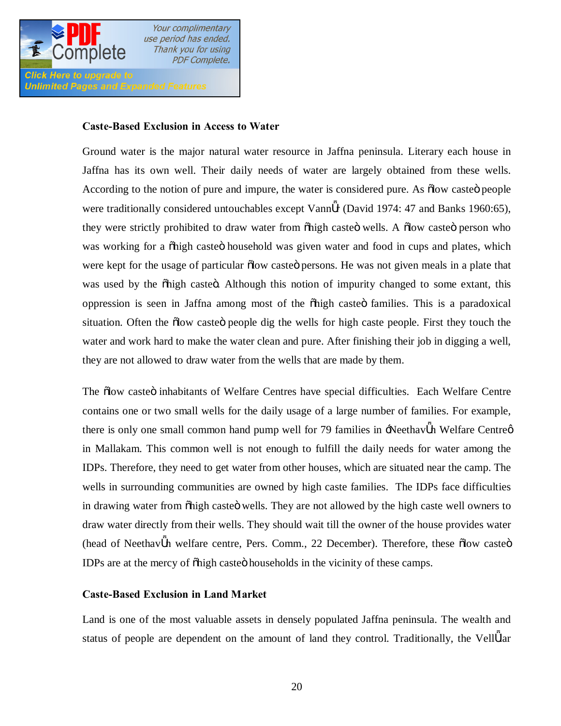

**Unlimited Pages and Expanded Features** 

Your complimentary use period has ended. Thank you for using **PDF Complete.** 

## **Caste-Based Exclusion in Access to Water**

Ground water is the major natural water resource in Jaffna peninsula. Literary each house in Jaffna has its own well. Their daily needs of water are largely obtained from these wells. According to the notion of pure and impure, the water is considered pure. As  $\delta$ low caste $\ddot{\sigma}$  people were traditionally considered untouchables except Vann r (David 1974: 47 and Banks 1960:65), they were strictly prohibited to draw water from  $\delta$  high caste $\ddot{o}$  wells. A  $\ddot{o}$  low caste $\ddot{o}$  person who was working for a  $\delta$ high caste $\ddot{o}$  household was given water and food in cups and plates, which were kept for the usage of particular  $\delta$ low caste $\delta$  persons. He was not given meals in a plate that was used by the onligh casted. Although this notion of impurity changed to some extant, this oppression is seen in Jaffna among most of the  $\delta$ high caste $\ddot{o}$  families. This is a paradoxical situation. Often the  $\delta$ low caste $\ddot{o}$  people dig the wells for high caste people. First they touch the water and work hard to make the water clean and pure. After finishing their job in digging a well, they are not allowed to draw water from the wells that are made by them.

The  $\delta$ low caste $\ddot{\sigma}$  inhabitants of Welfare Centres have special difficulties. Each Welfare Centre contains one or two small wells for the daily usage of a large number of families. For example, there is only one small common hand pump well for 79 families in -Neethav n Welfare Centree in Mallakam. This common well is not enough to fulfill the daily needs for water among the IDPs. Therefore, they need to get water from other houses, which are situated near the camp. The wells in surrounding communities are owned by high caste families. The IDPs face difficulties in drawing water from  $\delta$ high caste $\ddot{\text{o}}$  wells. They are not allowed by the high caste well owners to draw water directly from their wells. They should wait till the owner of the house provides water (head of Neethav n welfare centre, Pers. Comm., 22 December). Therefore, these olow casteo IDPs are at the mercy of  $\delta$ high caste $\delta$  households in the vicinity of these camps.

## **Caste-Based Exclusion in Land Market**

Land is one of the most valuable assets in densely populated Jaffna peninsula. The wealth and status of people are dependent on the amount of land they control. Traditionally, the Vell lar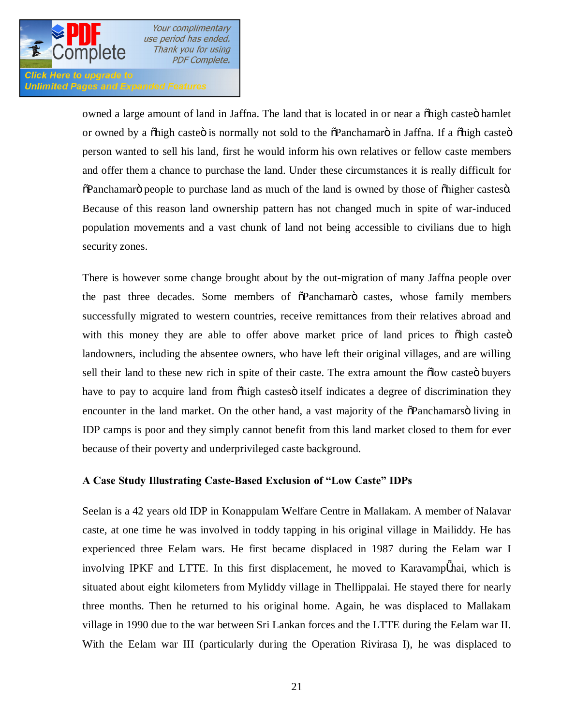

#### Click Here to upgrade to **Unlimited Pages and Expanded Features**

owned a large amount of land in Jaffna. The land that is located in or near a  $\delta$ high caste $\delta$  hamlet or owned by a  $\delta$ high caste $\ddot{o}$  is normally not sold to the  $\delta$ Panchamar $\ddot{o}$  in Jaffna. If a  $\delta$ high caste $\ddot{o}$ person wanted to sell his land, first he would inform his own relatives or fellow caste members and offer them a chance to purchase the land. Under these circumstances it is really difficult for  $\delta$ Panchamarö people to purchase land as much of the land is owned by those of  $\delta$ higher castes $\ddot{o}$ . Because of this reason land ownership pattern has not changed much in spite of war-induced population movements and a vast chunk of land not being accessible to civilians due to high security zones.

There is however some change brought about by the out-migration of many Jaffna people over the past three decades. Some members of  $\tilde{\sigma}$ Panchamaro castes, whose family members successfully migrated to western countries, receive remittances from their relatives abroad and with this money they are able to offer above market price of land prices to  $\delta$ high caste $\ddot{o}$ landowners, including the absentee owners, who have left their original villages, and are willing sell their land to these new rich in spite of their caste. The extra amount the  $\delta$ low caste $\delta$  buyers have to pay to acquire land from  $\delta$ high castes itself indicates a degree of discrimination they encounter in the land market. On the other hand, a vast majority of the  $\delta$ Panchamars $\ddot{\text{o}}$  living in IDP camps is poor and they simply cannot benefit from this land market closed to them for ever because of their poverty and underprivileged caste background.

## **A Case Study Illustrating Caste-Based Exclusion of "Low Caste" IDPs**

Seelan is a 42 years old IDP in Konappulam Welfare Centre in Mallakam. A member of Nalavar caste, at one time he was involved in toddy tapping in his original village in Mailiddy. He has experienced three Eelam wars. He first became displaced in 1987 during the Eelam war I involving IPKF and LTTE. In this first displacement, he moved to Karavamp nai, which is situated about eight kilometers from Myliddy village in Thellippalai. He stayed there for nearly three months. Then he returned to his original home. Again, he was displaced to Mallakam village in 1990 due to the war between Sri Lankan forces and the LTTE during the Eelam war II. With the Eelam war III (particularly during the Operation Rivirasa I), he was displaced to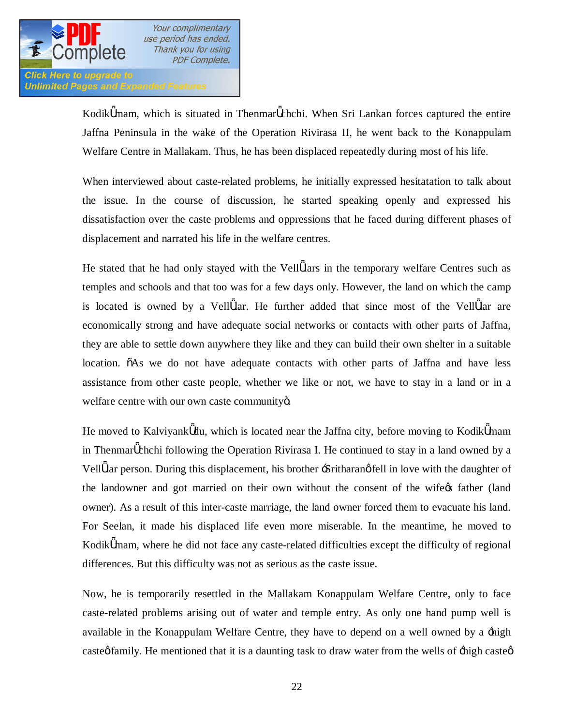

**Unlimited Pages and Expanded Features** 

Kodik mam, which is situated in Thenmar chchi. When Sri Lankan forces captured the entire Jaffna Peninsula in the wake of the Operation Rivirasa II, he went back to the Konappulam Welfare Centre in Mallakam. Thus, he has been displaced repeatedly during most of his life.

When interviewed about caste-related problems, he initially expressed hesitatation to talk about the issue. In the course of discussion, he started speaking openly and expressed his dissatisfaction over the caste problems and oppressions that he faced during different phases of displacement and narrated his life in the welfare centres.

He stated that he had only stayed with the Vell lars in the temporary welfare Centres such as temples and schools and that too was for a few days only. However, the land on which the camp is located is owned by a Vell lar. He further added that since most of the Vell lar are economically strong and have adequate social networks or contacts with other parts of Jaffna, they are able to settle down anywhere they like and they can build their own shelter in a suitable location.  $\tilde{o}$ As we do not have adequate contacts with other parts of Jaffna and have less assistance from other caste people, whether we like or not, we have to stay in a land or in a welfare centre with our own caste communityö.

He moved to Kalviyank du, which is located near the Jaffna city, before moving to Kodik mam in Thenmar chchi following the Operation Rivirasa I. He continued to stay in a land owned by a Vell lar person. During this displacement, his brother -Sritharang fell in love with the daughter of the landowner and got married on their own without the consent of the wife<sub>gs</sub> father (land owner). As a result of this inter-caste marriage, the land owner forced them to evacuate his land. For Seelan, it made his displaced life even more miserable. In the meantime, he moved to Kodik mam, where he did not face any caste-related difficulties except the difficulty of regional differences. But this difficulty was not as serious as the caste issue.

Now, he is temporarily resettled in the Mallakam Konappulam Welfare Centre, only to face caste-related problems arising out of water and temple entry. As only one hand pump well is available in the Konappulam Welfare Centre, they have to depend on a well owned by a 'high caste  $\phi$  family. He mentioned that it is a daunting task to draw water from the wells of  $\pm$ high caste  $\phi$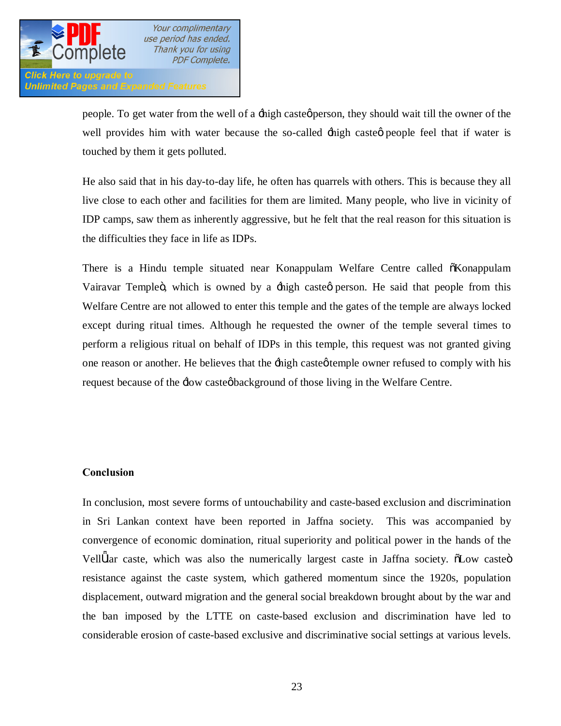

**Click Here to upgrade to Unlimited Pages and Expanded Features** 

> people. To get water from the well of a -high casteg person, they should wait till the owner of the well provides him with water because the so-called  $\pm$ high casteg people feel that if water is touched by them it gets polluted.

> He also said that in his day-to-day life, he often has quarrels with others. This is because they all live close to each other and facilities for them are limited. Many people, who live in vicinity of IDP camps, saw them as inherently aggressive, but he felt that the real reason for this situation is the difficulties they face in life as IDPs.

> There is a Hindu temple situated near Konappulam Welfare Centre called  $\tilde{o}$ Konappulam Vairavar Templeö, which is owned by a  $\pm$ high casteø person. He said that people from this Welfare Centre are not allowed to enter this temple and the gates of the temple are always locked except during ritual times. Although he requested the owner of the temple several times to perform a religious ritual on behalf of IDPs in this temple, this request was not granted giving one reason or another. He believes that the  $\pm$ high casteø temple owner refused to comply with his request because of the  $\exists$ ow castegbackground of those living in the Welfare Centre.

## **Conclusion**

In conclusion, most severe forms of untouchability and caste-based exclusion and discrimination in Sri Lankan context have been reported in Jaffna society. This was accompanied by convergence of economic domination, ritual superiority and political power in the hands of the Vell lar caste, which was also the numerically largest caste in Jaffna society.  $\delta$ Low caste $\ddot{o}$ resistance against the caste system, which gathered momentum since the 1920s, population displacement, outward migration and the general social breakdown brought about by the war and the ban imposed by the LTTE on caste-based exclusion and discrimination have led to considerable erosion of caste-based exclusive and discriminative social settings at various levels.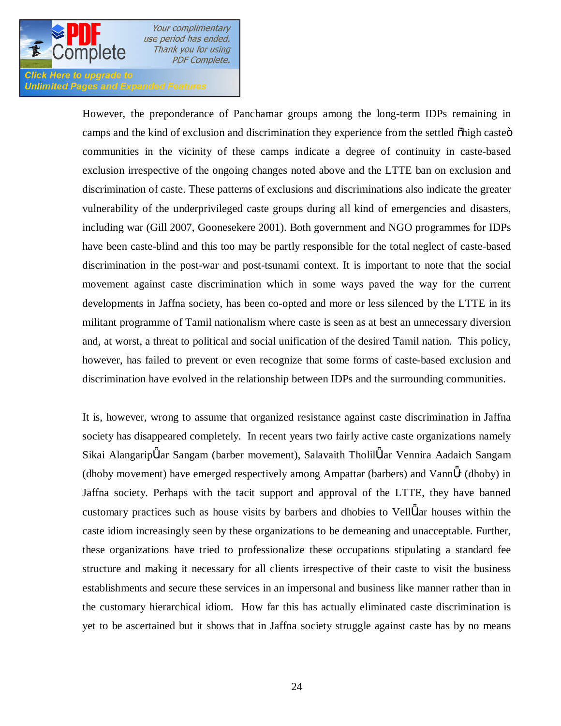

### **Click Here to upgrade to Unlimited Pages and Expanded Features**

However, the preponderance of Panchamar groups among the long-term IDPs remaining in camps and the kind of exclusion and discrimination they experience from the settled  $\delta$ high caste $\ddot{\circ}$ communities in the vicinity of these camps indicate a degree of continuity in caste-based exclusion irrespective of the ongoing changes noted above and the LTTE ban on exclusion and discrimination of caste. These patterns of exclusions and discriminations also indicate the greater vulnerability of the underprivileged caste groups during all kind of emergencies and disasters, including war (Gill 2007, Goonesekere 2001). Both government and NGO programmes for IDPs have been caste-blind and this too may be partly responsible for the total neglect of caste-based discrimination in the post-war and post-tsunami context. It is important to note that the social movement against caste discrimination which in some ways paved the way for the current developments in Jaffna society, has been co-opted and more or less silenced by the LTTE in its militant programme of Tamil nationalism where caste is seen as at best an unnecessary diversion and, at worst, a threat to political and social unification of the desired Tamil nation. This policy, however, has failed to prevent or even recognize that some forms of caste-based exclusion and discrimination have evolved in the relationship between IDPs and the surrounding communities.

It is, however, wrong to assume that organized resistance against caste discrimination in Jaffna society has disappeared completely. In recent years two fairly active caste organizations namely Sikai Alangarip lar Sangam (barber movement), Salavaith Tholil lar Vennira Aadaich Sangam (dhoby movement) have emerged respectively among Ampattar (barbers) and Vann r (dhoby) in Jaffna society. Perhaps with the tacit support and approval of the LTTE, they have banned customary practices such as house visits by barbers and dhobies to Vell lar houses within the caste idiom increasingly seen by these organizations to be demeaning and unacceptable. Further, these organizations have tried to professionalize these occupations stipulating a standard fee structure and making it necessary for all clients irrespective of their caste to visit the business establishments and secure these services in an impersonal and business like manner rather than in the customary hierarchical idiom. How far this has actually eliminated caste discrimination is yet to be ascertained but it shows that in Jaffna society struggle against caste has by no means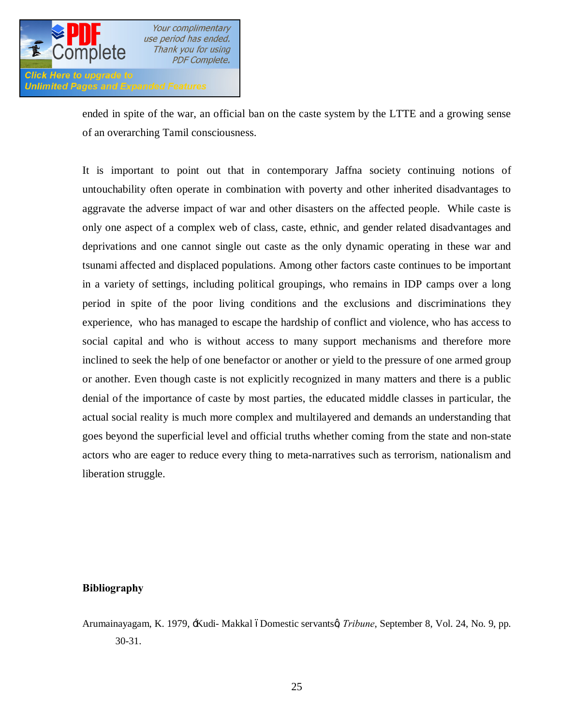

ended in spite of the war, an official ban on the caste system by the LTTE and a growing sense of an overarching Tamil consciousness.

It is important to point out that in contemporary Jaffna society continuing notions of untouchability often operate in combination with poverty and other inherited disadvantages to aggravate the adverse impact of war and other disasters on the affected people. While caste is only one aspect of a complex web of class, caste, ethnic, and gender related disadvantages and deprivations and one cannot single out caste as the only dynamic operating in these war and tsunami affected and displaced populations. Among other factors caste continues to be important in a variety of settings, including political groupings, who remains in IDP camps over a long period in spite of the poor living conditions and the exclusions and discriminations they experience, who has managed to escape the hardship of conflict and violence, who has access to social capital and who is without access to many support mechanisms and therefore more inclined to seek the help of one benefactor or another or yield to the pressure of one armed group or another. Even though caste is not explicitly recognized in many matters and there is a public denial of the importance of caste by most parties, the educated middle classes in particular, the actual social reality is much more complex and multilayered and demands an understanding that goes beyond the superficial level and official truths whether coming from the state and non-state actors who are eager to reduce every thing to meta-narratives such as terrorism, nationalism and liberation struggle.

#### **Bibliography**

Arumainayagam, K. 1979, -Kudi- Makkal óDomestic servantsø, *Tribune*, September 8, Vol. 24, No. 9, pp. 30-31.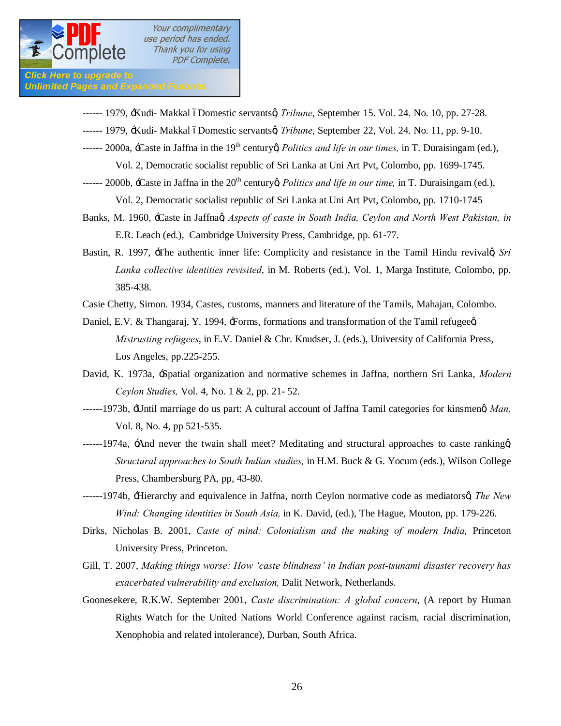

Click Here to upgrade to **Unlimited Pages and Expanded Features** 

- ------ 1979, *Kudi- Makkal óDomestic servantsø, Tribune*, September 15. Vol. 24. No. 10, pp. 27-28.
- ------ 1979, *Kudi- Makkal óDomestic servantsø, Tribune*, September 22, Vol. 24. No. 11, pp. 9-10.
- ------ 2000a, -Caste in Jaffna in the 19<sup>th</sup> century *Politics and life in our times*, in T. Duraisingam (ed.),

Vol. 2, Democratic socialist republic of Sri Lanka at Uni Art Pvt, Colombo, pp. 1699-1745.

- ------ 2000b,  $\pm$ Caste in Jaffna in the 20<sup>th</sup> century *Politics and life in our time*, in T. Duraisingam (ed.), Vol. 2, Democratic socialist republic of Sri Lanka at Uni Art Pvt, Colombo, pp. 1710-1745
- Banks, M. 1960, -Caste in Jaffnag *Aspects of caste in South India, Cevlon and North West Pakistan, in* E.R. Leach (ed.), Cambridge University Press, Cambridge, pp. 61-77.
- Bastin, R. 1997, -The authentic inner life: Complicity and resistance in the Tamil Hindu revivalg Sri *Lanka collective identities revisited*, in M. Roberts (ed.), Vol. 1, Marga Institute, Colombo, pp. 385-438.
- Casie Chetty, Simon. 1934, Castes, customs, manners and literature of the Tamils, Mahajan, Colombo.
- Daniel, E.V. & Thangaraj, Y. 1994, Forms, formations and transformation of the Tamil refugeed *Mistrusting refugees*, in E.V. Daniel & Chr. Knudser, J. (eds.), University of California Press, Los Angeles, pp.225-255.
- David, K. 1973a, 'Spatial organization and normative schemes in Jaffna, northern Sri Lanka, *Modern Ceylon Studies,* Vol. 4, No. 1 & 2, pp. 21- 52.
- ------1973b,  $\pm$ Until marriage do us part: A cultural account of Jaffna Tamil categories for kinsmeng *Man*, Vol. 8, No. 4, pp 521-535.
- -----1974a,  $\pm$ And never the twain shall meet? Meditating and structural approaches to caste ranking  $\alpha$ *Structural approaches to South Indian studies,* in H.M. Buck & G. Yocum (eds.), Wilson College Press, Chambersburg PA, pp, 43-80.
- ------1974b, 'Hierarchy and equivalence in Jaffna, north Ceylon normative code as mediators', *The New Wind: Changing identities in South Asia,* in K. David, (ed.), The Hague, Mouton, pp. 179-226.
- Dirks, Nicholas B. 2001, *Caste of mind: Colonialism and the making of modern India,* Princeton University Press, Princeton.
- Gill, T. 2007, *Making things worse: How 'caste blindness' in Indian post-tsunami disaster recovery has exacerbated vulnerability and exclusion,* Dalit Network, Netherlands.
- Goonesekere, R.K.W. September 2001, *Caste discrimination: A global concern*, (A report by Human Rights Watch for the United Nations World Conference against racism, racial discrimination, Xenophobia and related intolerance), Durban, South Africa.